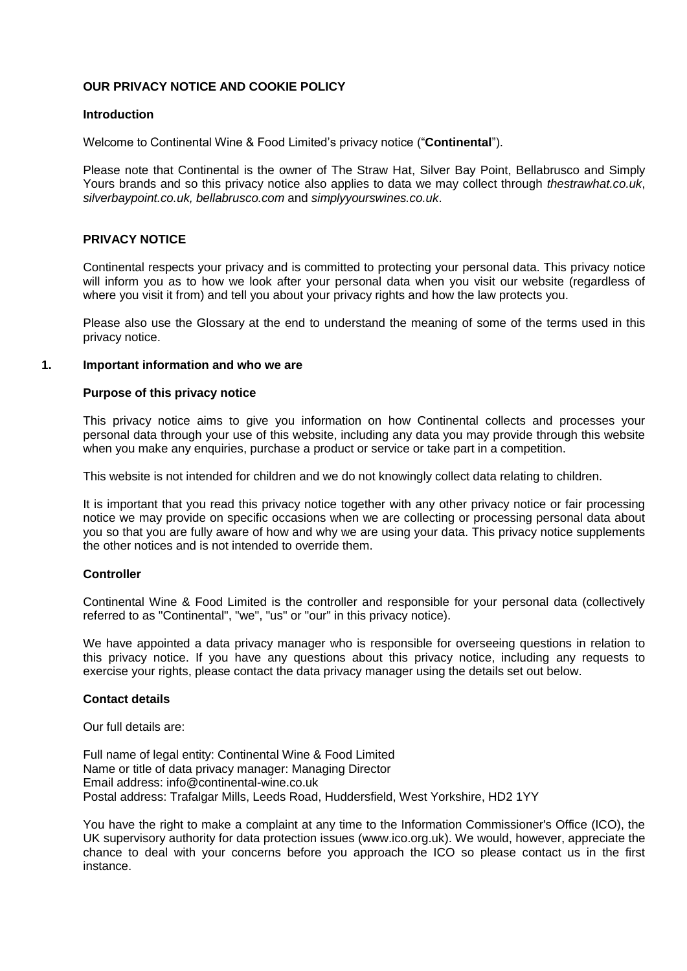## **OUR PRIVACY NOTICE AND COOKIE POLICY**

### **Introduction**

Welcome to Continental Wine & Food Limited's privacy notice ("**Continental**").

Please note that Continental is the owner of The Straw Hat, Silver Bay Point, Bellabrusco and Simply Yours brands and so this privacy notice also applies to data we may collect through *thestrawhat.co.uk*, *silverbaypoint.co.uk, bellabrusco.com* and *simplyyourswines.co.uk*.

### **PRIVACY NOTICE**

Continental respects your privacy and is committed to protecting your personal data. This privacy notice will inform you as to how we look after your personal data when you visit our website (regardless of where you visit it from) and tell you about your privacy rights and how the law protects you.

Please also use the Glossary at the end to understand the meaning of some of the terms used in this privacy notice.

#### **1. Important information and who we are**

#### **Purpose of this privacy notice**

This privacy notice aims to give you information on how Continental collects and processes your personal data through your use of this website, including any data you may provide through this website when you make any enquiries, purchase a product or service or take part in a competition.

This website is not intended for children and we do not knowingly collect data relating to children.

It is important that you read this privacy notice together with any other privacy notice or fair processing notice we may provide on specific occasions when we are collecting or processing personal data about you so that you are fully aware of how and why we are using your data. This privacy notice supplements the other notices and is not intended to override them.

#### **Controller**

Continental Wine & Food Limited is the controller and responsible for your personal data (collectively referred to as "Continental", "we", "us" or "our" in this privacy notice).

We have appointed a data privacy manager who is responsible for overseeing questions in relation to this privacy notice. If you have any questions about this privacy notice, including any requests to exercise your rights, please contact the data privacy manager using the details set out below.

#### **Contact details**

Our full details are:

Full name of legal entity: Continental Wine & Food Limited Name or title of data privacy manager: Managing Director Email address: info@continental-wine.co.uk Postal address: Trafalgar Mills, Leeds Road, Huddersfield, West Yorkshire, HD2 1YY

You have the right to make a complaint at any time to the Information Commissioner's Office (ICO), the UK supervisory authority for data protection issues (www.ico.org.uk). We would, however, appreciate the chance to deal with your concerns before you approach the ICO so please contact us in the first instance.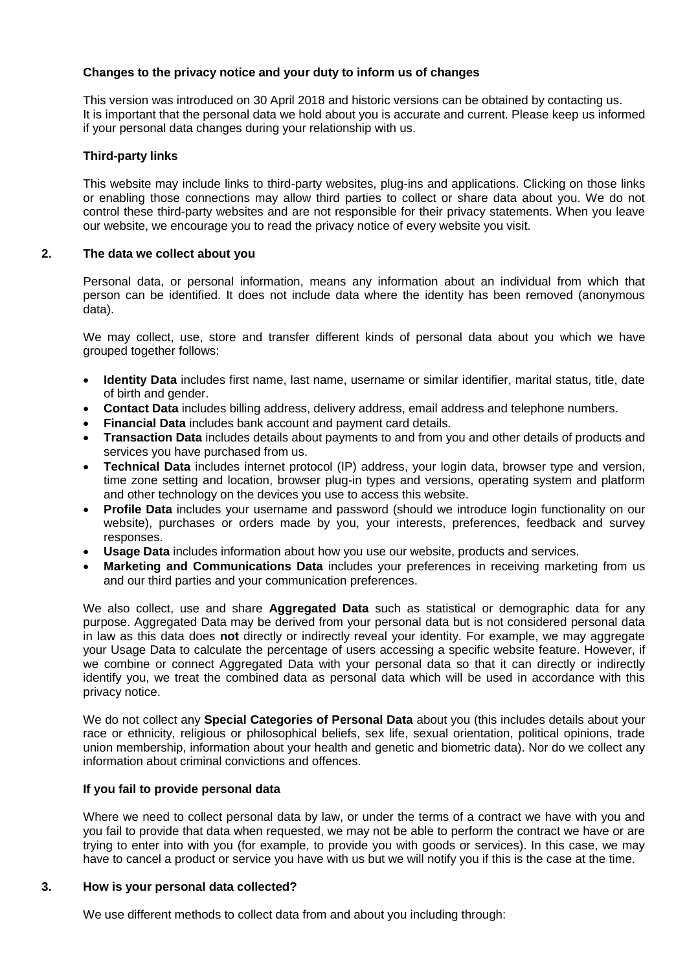## **Changes to the privacy notice and your duty to inform us of changes**

This version was introduced on 30 April 2018 and historic versions can be obtained by contacting us. It is important that the personal data we hold about you is accurate and current. Please keep us informed if your personal data changes during your relationship with us.

## **Third-party links**

This website may include links to third-party websites, plug-ins and applications. Clicking on those links or enabling those connections may allow third parties to collect or share data about you. We do not control these third-party websites and are not responsible for their privacy statements. When you leave our website, we encourage you to read the privacy notice of every website you visit.

## **2. The data we collect about you**

Personal data, or personal information, means any information about an individual from which that person can be identified. It does not include data where the identity has been removed (anonymous data).

We may collect, use, store and transfer different kinds of personal data about you which we have grouped together follows:

- **Identity Data** includes first name, last name, username or similar identifier, marital status, title, date of birth and gender.
- **Contact Data** includes billing address, delivery address, email address and telephone numbers.
- **Financial Data** includes bank account and payment card details.
- **Transaction Data** includes details about payments to and from you and other details of products and services you have purchased from us.
- **Technical Data** includes internet protocol (IP) address, your login data, browser type and version, time zone setting and location, browser plug-in types and versions, operating system and platform and other technology on the devices you use to access this website.
- **Profile Data** includes your username and password (should we introduce login functionality on our website), purchases or orders made by you, your interests, preferences, feedback and survey responses.
- **Usage Data** includes information about how you use our website, products and services.
- **Marketing and Communications Data** includes your preferences in receiving marketing from us and our third parties and your communication preferences.

We also collect, use and share **Aggregated Data** such as statistical or demographic data for any purpose. Aggregated Data may be derived from your personal data but is not considered personal data in law as this data does **not** directly or indirectly reveal your identity. For example, we may aggregate your Usage Data to calculate the percentage of users accessing a specific website feature. However, if we combine or connect Aggregated Data with your personal data so that it can directly or indirectly identify you, we treat the combined data as personal data which will be used in accordance with this privacy notice.

We do not collect any **Special Categories of Personal Data** about you (this includes details about your race or ethnicity, religious or philosophical beliefs, sex life, sexual orientation, political opinions, trade union membership, information about your health and genetic and biometric data). Nor do we collect any information about criminal convictions and offences.

## **If you fail to provide personal data**

Where we need to collect personal data by law, or under the terms of a contract we have with you and you fail to provide that data when requested, we may not be able to perform the contract we have or are trying to enter into with you (for example, to provide you with goods or services). In this case, we may have to cancel a product or service you have with us but we will notify you if this is the case at the time.

## **3. How is your personal data collected?**

We use different methods to collect data from and about you including through: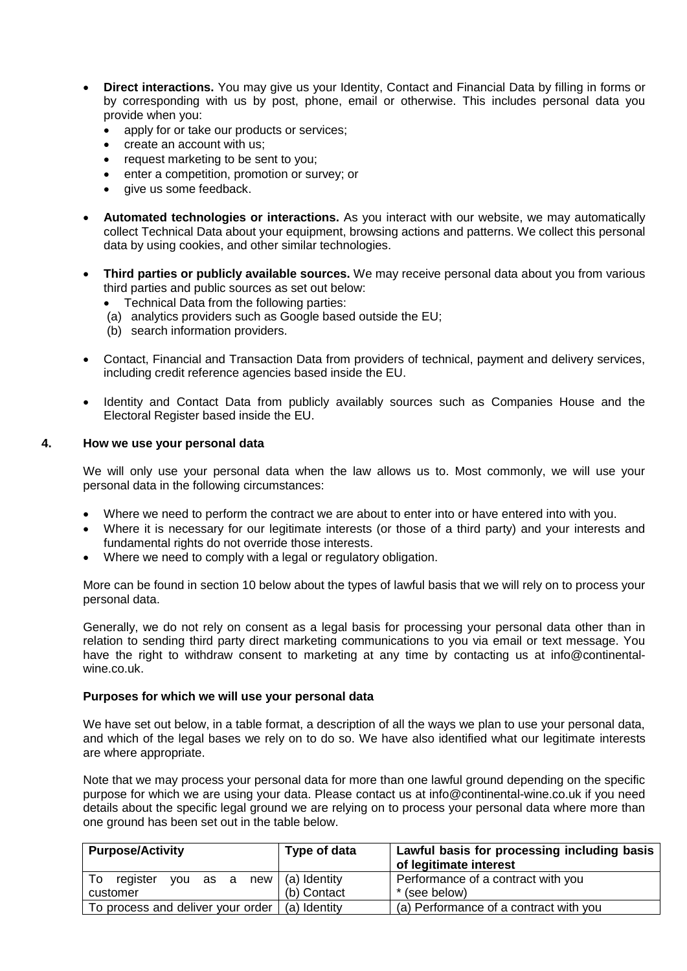- **Direct interactions.** You may give us your Identity, Contact and Financial Data by filling in forms or by corresponding with us by post, phone, email or otherwise. This includes personal data you provide when you:
	- apply for or take our products or services;
	- create an account with us;
	- request marketing to be sent to you;
	- enter a competition, promotion or survey; or
	- give us some feedback.
- **Automated technologies or interactions.** As you interact with our website, we may automatically collect Technical Data about your equipment, browsing actions and patterns. We collect this personal data by using cookies, and other similar technologies.
- **Third parties or publicly available sources.** We may receive personal data about you from various third parties and public sources as set out below:
	- Technical Data from the following parties:
	- (a) analytics providers such as Google based outside the EU;
	- (b) search information providers.
- Contact, Financial and Transaction Data from providers of technical, payment and delivery services, including credit reference agencies based inside the EU.
- Identity and Contact Data from publicly availably sources such as Companies House and the Electoral Register based inside the EU.

## **4. How we use your personal data**

We will only use your personal data when the law allows us to. Most commonly, we will use your personal data in the following circumstances:

- Where we need to perform the contract we are about to enter into or have entered into with you.
- Where it is necessary for our legitimate interests (or those of a third party) and your interests and fundamental rights do not override those interests.
- Where we need to comply with a legal or regulatory obligation.

More can be found in section 10 below about the types of lawful basis that we will rely on to process your personal data.

Generally, we do not rely on consent as a legal basis for processing your personal data other than in relation to sending third party direct marketing communications to you via email or text message. You have the right to withdraw consent to marketing at any time by contacting us at info@continentalwine.co.uk.

## **Purposes for which we will use your personal data**

We have set out below, in a table format, a description of all the ways we plan to use your personal data, and which of the legal bases we rely on to do so. We have also identified what our legitimate interests are where appropriate.

Note that we may process your personal data for more than one lawful ground depending on the specific purpose for which we are using your data. Please contact us at info@continental-wine.co.uk if you need details about the specific legal ground we are relying on to process your personal data where more than one ground has been set out in the table below.

| <b>Purpose/Activity</b>           |          |  |  |  | Type of data                     | Lawful basis for processing including basis<br>of legitimate interest |
|-----------------------------------|----------|--|--|--|----------------------------------|-----------------------------------------------------------------------|
| To                                | register |  |  |  | you as a new $\mid$ (a) Identity | Performance of a contract with you                                    |
|                                   | customer |  |  |  | (b) Contact                      | * (see below)                                                         |
| To process and deliver your order |          |  |  |  | (a) Identity                     | (a) Performance of a contract with you                                |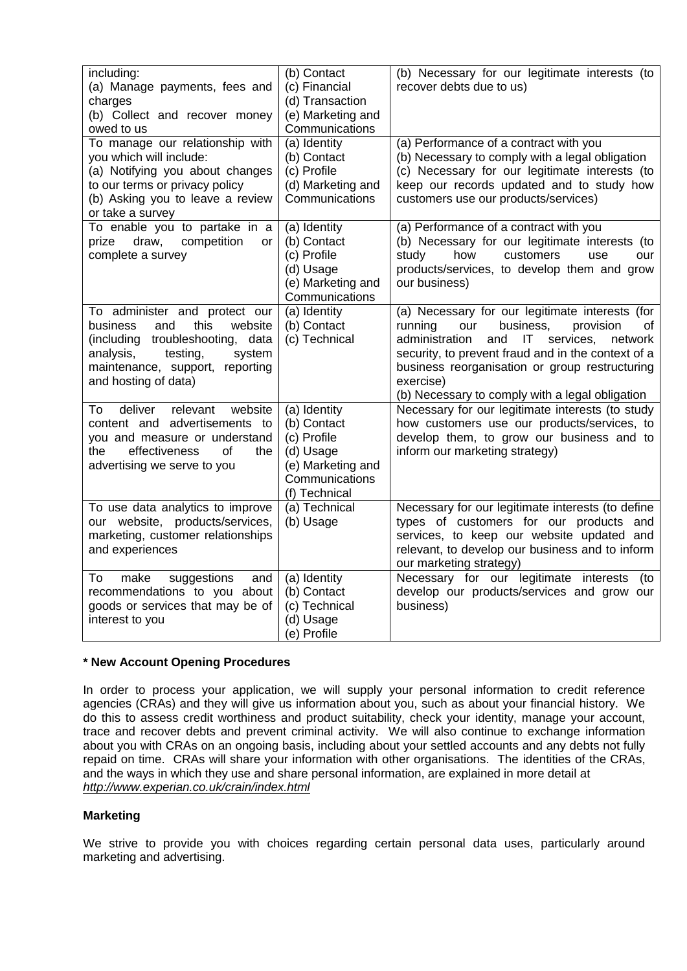| including:<br>(a) Manage payments, fees and<br>charges<br>(b) Collect and recover money<br>owed to us<br>To manage our relationship with<br>you which will include:<br>(a) Notifying you about changes<br>to our terms or privacy policy | (b) Contact<br>(c) Financial<br>(d) Transaction<br>(e) Marketing and<br>Communications<br>(a) Identity<br>(b) Contact<br>(c) Profile<br>(d) Marketing and | (b) Necessary for our legitimate interests (to<br>recover debts due to us)<br>(a) Performance of a contract with you<br>(b) Necessary to comply with a legal obligation<br>(c) Necessary for our legitimate interests (to<br>keep our records updated and to study how                                                        |
|------------------------------------------------------------------------------------------------------------------------------------------------------------------------------------------------------------------------------------------|-----------------------------------------------------------------------------------------------------------------------------------------------------------|-------------------------------------------------------------------------------------------------------------------------------------------------------------------------------------------------------------------------------------------------------------------------------------------------------------------------------|
| (b) Asking you to leave a review<br>or take a survey                                                                                                                                                                                     | Communications                                                                                                                                            | customers use our products/services)                                                                                                                                                                                                                                                                                          |
| To enable you to partake in a<br>competition<br>draw,<br>prize<br>or<br>complete a survey                                                                                                                                                | (a) Identity<br>(b) Contact<br>(c) Profile<br>(d) Usage<br>(e) Marketing and<br>Communications                                                            | (a) Performance of a contract with you<br>(b) Necessary for our legitimate interests (to<br>customers<br>study<br>how<br>use<br>our<br>products/services, to develop them and grow<br>our business)                                                                                                                           |
| To administer and protect our<br>this<br>website<br>business<br>and<br>(including troubleshooting, data<br>analysis,<br>testing,<br>system<br>maintenance, support, reporting<br>and hosting of data)                                    | (a) Identity<br>(b) Contact<br>(c) Technical                                                                                                              | (a) Necessary for our legitimate interests (for<br>running<br>business,<br>provision<br>οf<br>our<br>administration<br>and<br>IT services,<br>network<br>security, to prevent fraud and in the context of a<br>business reorganisation or group restructuring<br>exercise)<br>(b) Necessary to comply with a legal obligation |
| To<br>deliver<br>relevant<br>website<br>content and advertisements to<br>you and measure or understand<br>effectiveness<br>the<br>οf<br>the<br>advertising we serve to you                                                               | (a) Identity<br>(b) Contact<br>(c) Profile<br>(d) Usage<br>(e) Marketing and<br>Communications<br>(f) Technical                                           | Necessary for our legitimate interests (to study<br>how customers use our products/services, to<br>develop them, to grow our business and to<br>inform our marketing strategy)                                                                                                                                                |
| To use data analytics to improve<br>our website, products/services,<br>marketing, customer relationships<br>and experiences                                                                                                              | (a) Technical<br>(b) Usage                                                                                                                                | Necessary for our legitimate interests (to define<br>types of customers for our products and<br>services, to keep our website updated and<br>relevant, to develop our business and to inform<br>our marketing strategy)                                                                                                       |
| To<br>suggestions<br>make<br>and<br>recommendations to you about<br>goods or services that may be of<br>interest to you                                                                                                                  | (a) Identity<br>(b) Contact<br>(c) Technical<br>(d) Usage<br>(e) Profile                                                                                  | Necessary for our legitimate interests<br>(to<br>develop our products/services and grow our<br>business)                                                                                                                                                                                                                      |

## **\* New Account Opening Procedures**

In order to process your application, we will supply your personal information to credit reference agencies (CRAs) and they will give us information about you, such as about your financial history. We do this to assess credit worthiness and product suitability, check your identity, manage your account, trace and recover debts and prevent criminal activity. We will also continue to exchange information about you with CRAs on an ongoing basis, including about your settled accounts and any debts not fully repaid on time. CRAs will share your information with other organisations. The identities of the CRAs, and the ways in which they use and share personal information, are explained in more detail at *<http://www.experian.co.uk/crain/index.html>*

## **Marketing**

We strive to provide you with choices regarding certain personal data uses, particularly around marketing and advertising.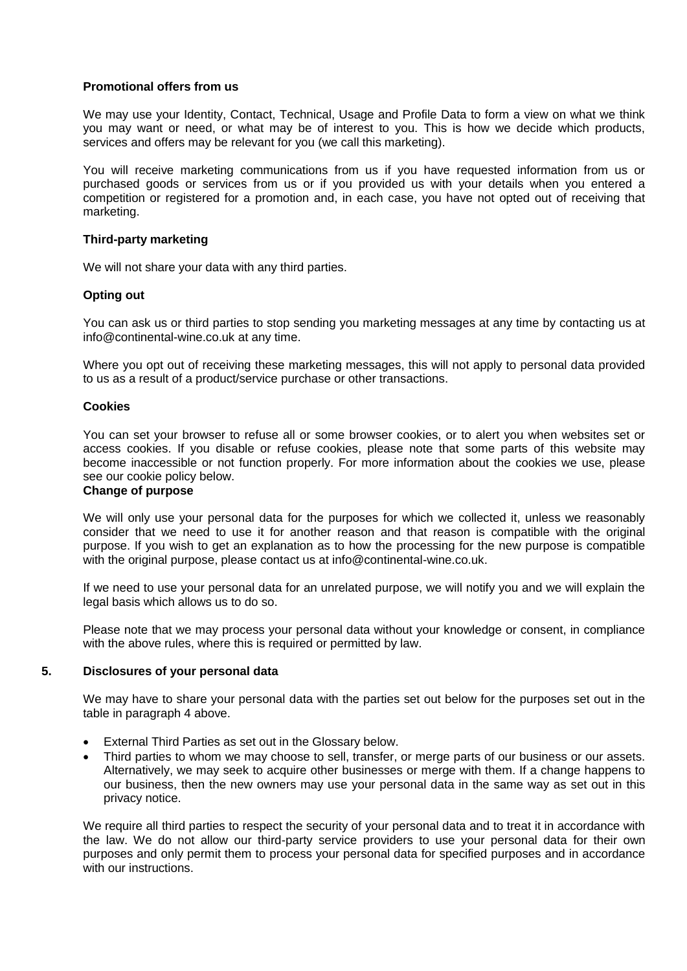### **Promotional offers from us**

We may use your Identity, Contact, Technical, Usage and Profile Data to form a view on what we think you may want or need, or what may be of interest to you. This is how we decide which products, services and offers may be relevant for you (we call this marketing).

You will receive marketing communications from us if you have requested information from us or purchased goods or services from us or if you provided us with your details when you entered a competition or registered for a promotion and, in each case, you have not opted out of receiving that marketing.

### **Third-party marketing**

We will not share your data with any third parties.

## **Opting out**

You can ask us or third parties to stop sending you marketing messages at any time by contacting us at info@continental-wine.co.uk at any time.

Where you opt out of receiving these marketing messages, this will not apply to personal data provided to us as a result of a product/service purchase or other transactions.

#### **Cookies**

You can set your browser to refuse all or some browser cookies, or to alert you when websites set or access cookies. If you disable or refuse cookies, please note that some parts of this website may become inaccessible or not function properly. For more information about the cookies we use, please see our cookie policy below.

# **Change of purpose**

We will only use your personal data for the purposes for which we collected it, unless we reasonably consider that we need to use it for another reason and that reason is compatible with the original purpose. If you wish to get an explanation as to how the processing for the new purpose is compatible with the original purpose, please contact us at info@continental-wine.co.uk.

If we need to use your personal data for an unrelated purpose, we will notify you and we will explain the legal basis which allows us to do so.

Please note that we may process your personal data without your knowledge or consent, in compliance with the above rules, where this is required or permitted by law.

#### **5. Disclosures of your personal data**

We may have to share your personal data with the parties set out below for the purposes set out in the table in paragraph 4 above.

- External Third Parties as set out in the Glossary below.
- Third parties to whom we may choose to sell, transfer, or merge parts of our business or our assets. Alternatively, we may seek to acquire other businesses or merge with them. If a change happens to our business, then the new owners may use your personal data in the same way as set out in this privacy notice.

We require all third parties to respect the security of your personal data and to treat it in accordance with the law. We do not allow our third-party service providers to use your personal data for their own purposes and only permit them to process your personal data for specified purposes and in accordance with our instructions.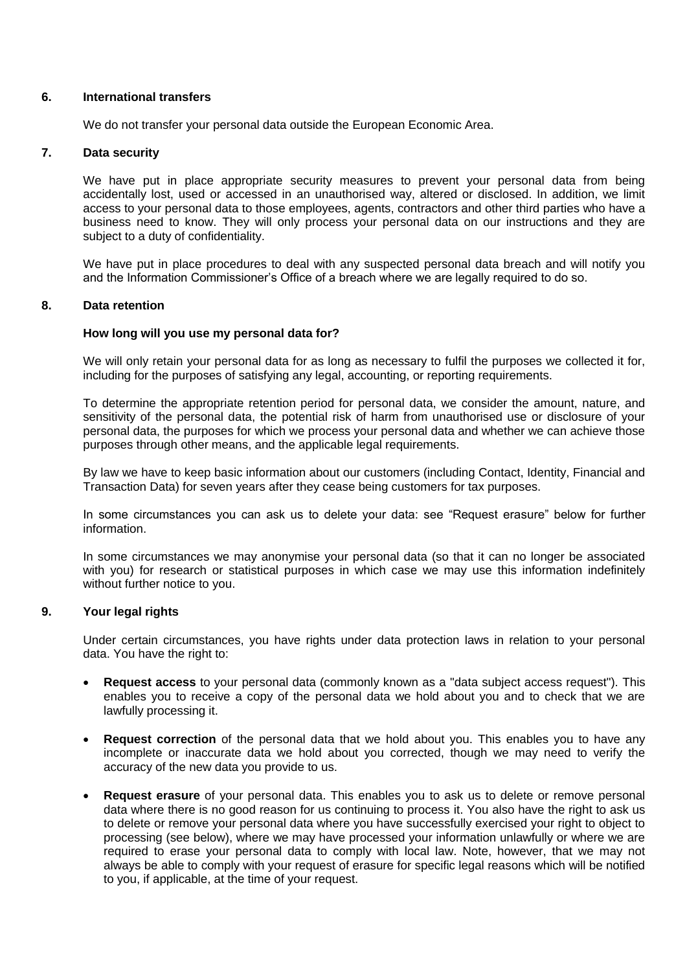### **6. International transfers**

We do not transfer your personal data outside the European Economic Area.

### **7. Data security**

We have put in place appropriate security measures to prevent your personal data from being accidentally lost, used or accessed in an unauthorised way, altered or disclosed. In addition, we limit access to your personal data to those employees, agents, contractors and other third parties who have a business need to know. They will only process your personal data on our instructions and they are subject to a duty of confidentiality.

We have put in place procedures to deal with any suspected personal data breach and will notify you and the Information Commissioner's Office of a breach where we are legally required to do so.

### **8. Data retention**

#### **How long will you use my personal data for?**

We will only retain your personal data for as long as necessary to fulfil the purposes we collected it for, including for the purposes of satisfying any legal, accounting, or reporting requirements.

To determine the appropriate retention period for personal data, we consider the amount, nature, and sensitivity of the personal data, the potential risk of harm from unauthorised use or disclosure of your personal data, the purposes for which we process your personal data and whether we can achieve those purposes through other means, and the applicable legal requirements.

By law we have to keep basic information about our customers (including Contact, Identity, Financial and Transaction Data) for seven years after they cease being customers for tax purposes.

In some circumstances you can ask us to delete your data: see "Request erasure" below for further information.

In some circumstances we may anonymise your personal data (so that it can no longer be associated with you) for research or statistical purposes in which case we may use this information indefinitely without further notice to you.

## **9. Your legal rights**

Under certain circumstances, you have rights under data protection laws in relation to your personal data. You have the right to:

- **Request access** to your personal data (commonly known as a "data subject access request"). This enables you to receive a copy of the personal data we hold about you and to check that we are lawfully processing it.
- **Request correction** of the personal data that we hold about you. This enables you to have any incomplete or inaccurate data we hold about you corrected, though we may need to verify the accuracy of the new data you provide to us.
- **Request erasure** of your personal data. This enables you to ask us to delete or remove personal data where there is no good reason for us continuing to process it. You also have the right to ask us to delete or remove your personal data where you have successfully exercised your right to object to processing (see below), where we may have processed your information unlawfully or where we are required to erase your personal data to comply with local law. Note, however, that we may not always be able to comply with your request of erasure for specific legal reasons which will be notified to you, if applicable, at the time of your request.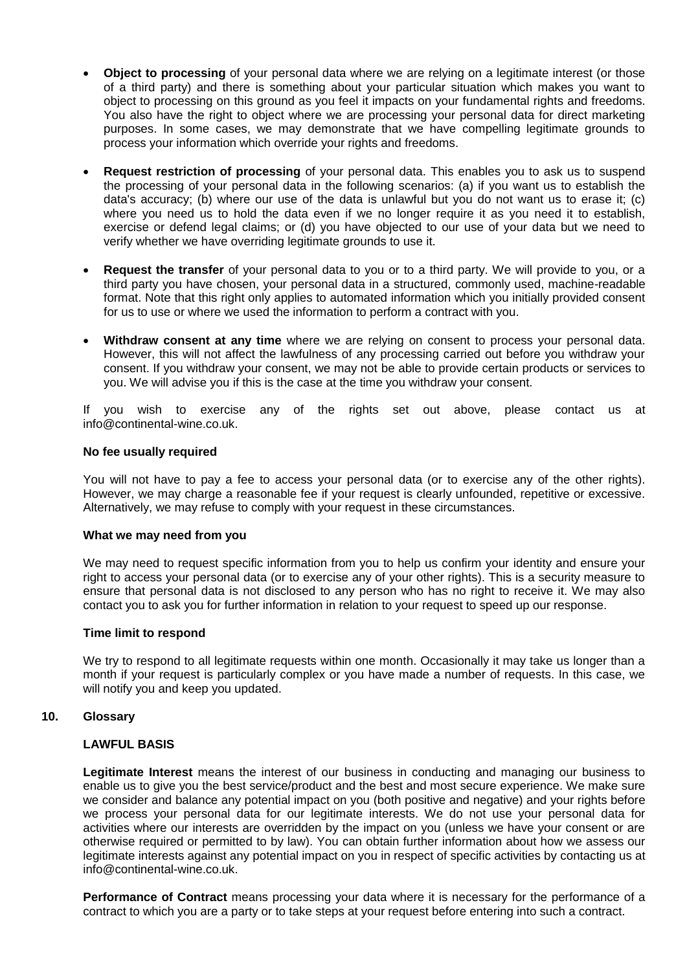- **Object to processing** of your personal data where we are relying on a legitimate interest (or those of a third party) and there is something about your particular situation which makes you want to object to processing on this ground as you feel it impacts on your fundamental rights and freedoms. You also have the right to object where we are processing your personal data for direct marketing purposes. In some cases, we may demonstrate that we have compelling legitimate grounds to process your information which override your rights and freedoms.
- **Request restriction of processing** of your personal data. This enables you to ask us to suspend the processing of your personal data in the following scenarios: (a) if you want us to establish the data's accuracy; (b) where our use of the data is unlawful but you do not want us to erase it; (c) where you need us to hold the data even if we no longer require it as you need it to establish, exercise or defend legal claims; or (d) you have objected to our use of your data but we need to verify whether we have overriding legitimate grounds to use it.
- **Request the transfer** of your personal data to you or to a third party. We will provide to you, or a third party you have chosen, your personal data in a structured, commonly used, machine-readable format. Note that this right only applies to automated information which you initially provided consent for us to use or where we used the information to perform a contract with you.
- **Withdraw consent at any time** where we are relying on consent to process your personal data. However, this will not affect the lawfulness of any processing carried out before you withdraw your consent. If you withdraw your consent, we may not be able to provide certain products or services to you. We will advise you if this is the case at the time you withdraw your consent.

If you wish to exercise any of the rights set out above, please contact us at info@continental-wine.co.uk.

### **No fee usually required**

You will not have to pay a fee to access your personal data (or to exercise any of the other rights). However, we may charge a reasonable fee if your request is clearly unfounded, repetitive or excessive. Alternatively, we may refuse to comply with your request in these circumstances.

### **What we may need from you**

We may need to request specific information from you to help us confirm your identity and ensure your right to access your personal data (or to exercise any of your other rights). This is a security measure to ensure that personal data is not disclosed to any person who has no right to receive it. We may also contact you to ask you for further information in relation to your request to speed up our response.

#### **Time limit to respond**

We try to respond to all legitimate requests within one month. Occasionally it may take us longer than a month if your request is particularly complex or you have made a number of requests. In this case, we will notify you and keep you updated.

### **10. Glossary**

## **LAWFUL BASIS**

**Legitimate Interest** means the interest of our business in conducting and managing our business to enable us to give you the best service/product and the best and most secure experience. We make sure we consider and balance any potential impact on you (both positive and negative) and your rights before we process your personal data for our legitimate interests. We do not use your personal data for activities where our interests are overridden by the impact on you (unless we have your consent or are otherwise required or permitted to by law). You can obtain further information about how we assess our legitimate interests against any potential impact on you in respect of specific activities by contacting us at info@continental-wine.co.uk.

**Performance of Contract** means processing your data where it is necessary for the performance of a contract to which you are a party or to take steps at your request before entering into such a contract.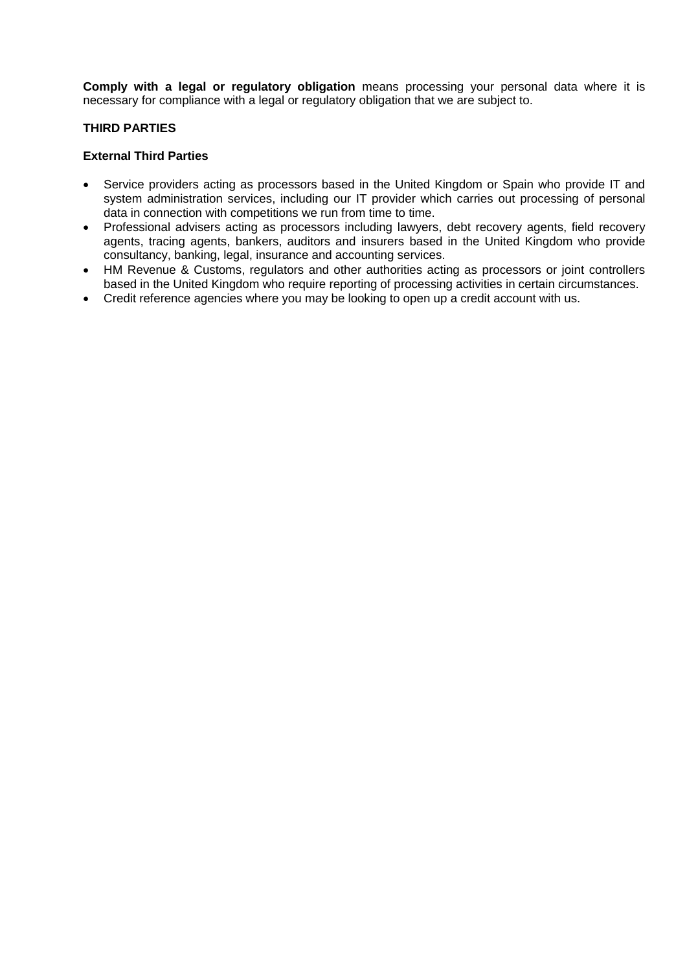**Comply with a legal or regulatory obligation** means processing your personal data where it is necessary for compliance with a legal or regulatory obligation that we are subject to.

## **THIRD PARTIES**

## **External Third Parties**

- Service providers acting as processors based in the United Kingdom or Spain who provide IT and system administration services, including our IT provider which carries out processing of personal data in connection with competitions we run from time to time.
- Professional advisers acting as processors including lawyers, debt recovery agents, field recovery agents, tracing agents, bankers, auditors and insurers based in the United Kingdom who provide consultancy, banking, legal, insurance and accounting services.
- HM Revenue & Customs, regulators and other authorities acting as processors or joint controllers based in the United Kingdom who require reporting of processing activities in certain circumstances.
- Credit reference agencies where you may be looking to open up a credit account with us.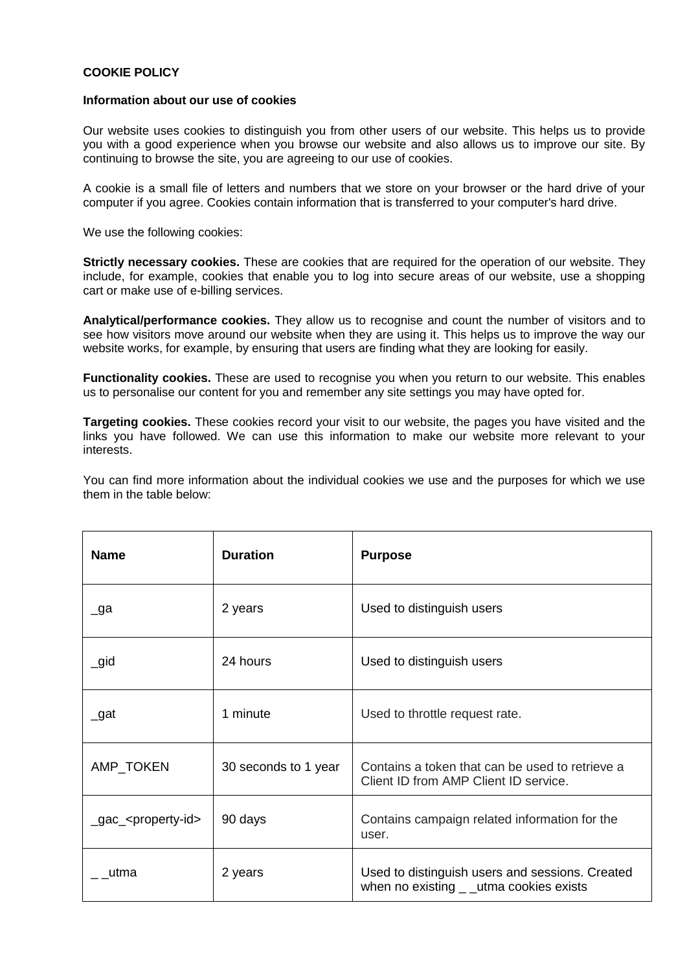# **COOKIE POLICY**

### **Information about our use of cookies**

Our website uses cookies to distinguish you from other users of our website. This helps us to provide you with a good experience when you browse our website and also allows us to improve our site. By continuing to browse the site, you are agreeing to our use of cookies.

A cookie is a small file of letters and numbers that we store on your browser or the hard drive of your computer if you agree. Cookies contain information that is transferred to your computer's hard drive.

We use the following cookies:

**Strictly necessary cookies.** These are cookies that are required for the operation of our website. They include, for example, cookies that enable you to log into secure areas of our website, use a shopping cart or make use of e-billing services.

**Analytical/performance cookies.** They allow us to recognise and count the number of visitors and to see how visitors move around our website when they are using it. This helps us to improve the way our website works, for example, by ensuring that users are finding what they are looking for easily.

**Functionality cookies.** These are used to recognise you when you return to our website. This enables us to personalise our content for you and remember any site settings you may have opted for.

**Targeting cookies.** These cookies record your visit to our website, the pages you have visited and the links you have followed. We can use this information to make our website more relevant to your interests.

You can find more information about the individual cookies we use and the purposes for which we use them in the table below:

| <b>Name</b>                       | <b>Duration</b>      | <b>Purpose</b>                                                                             |
|-----------------------------------|----------------------|--------------------------------------------------------------------------------------------|
| _ga                               | 2 years              | Used to distinguish users                                                                  |
| $\_$ gid                          | 24 hours             | Used to distinguish users                                                                  |
| _gat                              | 1 minute             | Used to throttle request rate.                                                             |
| AMP_TOKEN                         | 30 seconds to 1 year | Contains a token that can be used to retrieve a<br>Client ID from AMP Client ID service.   |
| _gac_ <property-id></property-id> | 90 days              | Contains campaign related information for the<br>user.                                     |
| utma                              | 2 years              | Used to distinguish users and sessions. Created<br>when no existing _ _utma cookies exists |